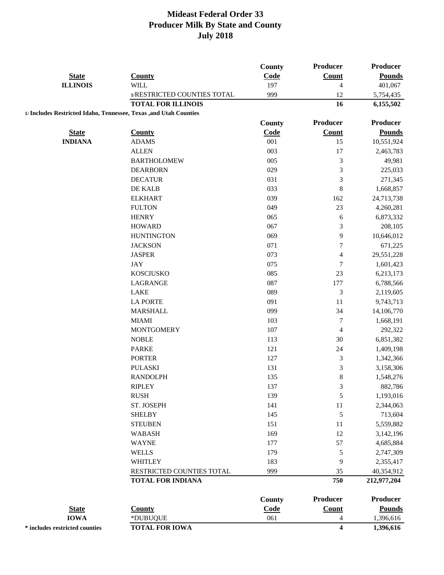|                                                                   |                             | County        | <b>Producer</b>          | <b>Producer</b> |
|-------------------------------------------------------------------|-----------------------------|---------------|--------------------------|-----------------|
| <b>State</b>                                                      | <b>County</b>               | Code          | <b>Count</b>             | <b>Pounds</b>   |
| <b>ILLINOIS</b>                                                   | <b>WILL</b>                 | 197           | $\overline{\mathcal{L}}$ | 401,067         |
|                                                                   | 1/RESTRICTED COUNTIES TOTAL | 999           | 12                       | 5,754,435       |
|                                                                   | <b>TOTAL FOR ILLINOIS</b>   |               | 16                       | 6,155,502       |
| 1/ Includes Restricted Idaho, Tennessee, Texas ,and Utah Counties |                             |               |                          |                 |
|                                                                   |                             | County        | <b>Producer</b>          | <b>Producer</b> |
| <b>State</b>                                                      | <b>County</b>               | Code          | <b>Count</b>             | <b>Pounds</b>   |
| <b>INDIANA</b>                                                    | <b>ADAMS</b>                | 001           | 15                       | 10,551,924      |
|                                                                   | <b>ALLEN</b>                | 003           | 17                       | 2,463,783       |
|                                                                   | <b>BARTHOLOMEW</b>          | 005           | $\mathfrak{Z}$           | 49,981          |
|                                                                   | <b>DEARBORN</b>             | 029           | $\mathfrak{Z}$           | 225,033         |
|                                                                   | <b>DECATUR</b>              | 031           | 3                        | 271,345         |
|                                                                   | DE KALB                     | 033           | $\,8$                    | 1,668,857       |
|                                                                   | <b>ELKHART</b>              | 039           | 162                      | 24,713,738      |
|                                                                   | <b>FULTON</b>               | 049           | 23                       | 4,260,281       |
|                                                                   | <b>HENRY</b>                | 065           | 6                        | 6,873,332       |
|                                                                   | <b>HOWARD</b>               | 067           | 3                        | 208,105         |
|                                                                   | <b>HUNTINGTON</b>           | 069           | 9                        | 10,646,012      |
|                                                                   | <b>JACKSON</b>              | 071           | $\boldsymbol{7}$         | 671,225         |
|                                                                   | <b>JASPER</b>               | 073           | $\overline{\mathbf{4}}$  | 29,551,228      |
|                                                                   | <b>JAY</b>                  | 075           | 7                        | 1,601,423       |
|                                                                   | <b>KOSCIUSKO</b>            | 085           | 23                       | 6,213,173       |
|                                                                   | LAGRANGE                    | 087           | 177                      | 6,788,566       |
|                                                                   | LAKE                        | 089           | $\mathfrak{Z}$           | 2,119,605       |
|                                                                   | <b>LA PORTE</b>             | 091           | 11                       | 9,743,713       |
|                                                                   | <b>MARSHALL</b>             | 099           | 34                       | 14,106,770      |
|                                                                   | <b>MIAMI</b>                | 103           | 7                        | 1,668,191       |
|                                                                   | <b>MONTGOMERY</b>           | 107           | 4                        | 292,322         |
|                                                                   | <b>NOBLE</b>                | 113           | 30                       | 6,851,382       |
|                                                                   | <b>PARKE</b>                | 121           | 24                       | 1,409,198       |
|                                                                   | <b>PORTER</b>               | 127           | $\mathfrak{Z}$           | 1,342,366       |
|                                                                   | <b>PULASKI</b>              | 131           | 3                        | 3,158,306       |
|                                                                   | <b>RANDOLPH</b>             | 135           | $\,8\,$                  | 1,548,276       |
|                                                                   | <b>RIPLEY</b>               | 137           | 3                        | 882,786         |
|                                                                   | <b>RUSH</b>                 | 139           | 5                        | 1,193,016       |
|                                                                   | ST. JOSEPH                  | 141           | $11\,$                   | 2,344,063       |
|                                                                   | <b>SHELBY</b>               | 145           | 5                        | 713,604         |
|                                                                   | <b>STEUBEN</b>              | 151           | 11                       | 5,559,882       |
|                                                                   | <b>WABASH</b>               | 169           | 12                       | 3,142,196       |
|                                                                   | <b>WAYNE</b>                | 177           | 57                       | 4,685,884       |
|                                                                   | <b>WELLS</b>                | 179           | 5                        | 2,747,309       |
|                                                                   | WHITLEY                     | 183           | 9                        | 2,355,417       |
|                                                                   | RESTRICTED COUNTIES TOTAL   | 999           | 35                       | 40,354,912      |
|                                                                   | <b>TOTAL FOR INDIANA</b>    |               | 750                      | 212,977,204     |
|                                                                   |                             |               | <b>Producer</b>          | Producer        |
| <b>State</b>                                                      | <b>County</b>               | <b>County</b> | <b>Count</b>             | <b>Pounds</b>   |
| <b>IOWA</b>                                                       |                             | Code<br>061   |                          | 1,396,616       |
|                                                                   | *DUBUQUE                    |               | 4<br>4                   |                 |
| * includes restricted counties                                    | <b>TOTAL FOR IOWA</b>       |               |                          | 1,396,616       |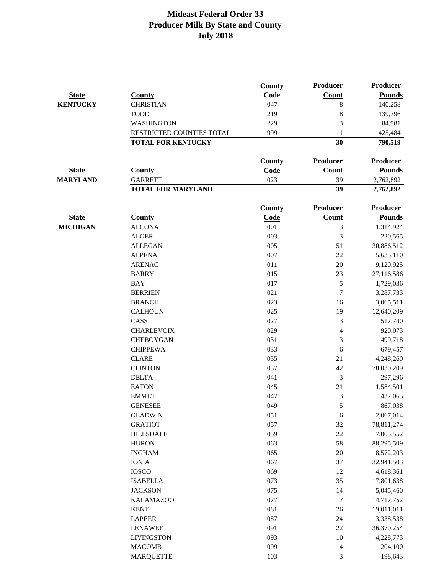| Count<br><b>Pounds</b><br><b>State</b><br><b>County</b><br>Code<br>047<br><b>KENTUCKY</b><br>8<br>140,258<br><b>CHRISTIAN</b><br><b>TODD</b><br>219<br>8<br>139,796<br>229<br>3<br><b>WASHINGTON</b><br>84,981<br>RESTRICTED COUNTIES TOTAL<br>999<br>11<br>425,484<br><b>TOTAL FOR KENTUCKY</b><br>30<br>790,519<br><b>Producer</b><br><b>Producer</b><br><b>County</b><br>Code<br>Count<br><b>Pounds</b><br><b>State</b><br><b>County</b><br><b>MARYLAND</b><br>023<br><b>GARRETT</b><br>39<br>2,762,892<br>39<br><b>TOTAL FOR MARYLAND</b><br>2,762,892<br><b>Producer</b><br>Producer<br><b>County</b><br><b>Pounds</b><br><b>State</b><br><b>County</b><br>Code<br><b>Count</b><br>$\mathfrak{Z}$<br><b>MICHIGAN</b><br><b>ALCONA</b><br>001<br>1,314,924<br><b>ALGER</b><br>003<br>3<br>220,565<br>005<br>51<br><b>ALLEGAN</b><br>30,886,512<br>007<br><b>ALPENA</b><br>$22\,$<br>5,635,110<br><b>ARENAC</b><br>011<br>20<br>9,120,925<br><b>BARRY</b><br>015<br>23<br>27,116,586<br>017<br>5<br><b>BAY</b><br>1,729,036<br>021<br>$\tau$<br><b>BERRIEN</b><br>3,287,733<br><b>BRANCH</b><br>023<br>16<br>3,065,511<br><b>CALHOUN</b><br>025<br>19<br>12,640,209<br>CASS<br>027<br>3<br>517,740<br><b>CHARLEVOIX</b><br>029<br>$\overline{4}$<br>920,073<br><b>CHEBOYGAN</b><br>031<br>3<br>499,718<br><b>CHIPPEWA</b><br>033<br>6<br>679,457<br><b>CLARE</b><br>035<br>21<br>4,248,260<br><b>CLINTON</b><br>037<br>42<br>78,030,209<br>3<br><b>DELTA</b><br>041<br>297,296<br>21<br><b>EATON</b><br>045<br>1,584,501<br><b>EMMET</b><br>047<br>3<br>437,065<br>5<br><b>GENESEE</b><br>049<br>867,038<br>051<br>2,067,014<br><b>GLADWIN</b><br>6<br>057<br><b>GRATIOT</b><br>32<br>78,811,274<br>059<br><b>HILLSDALE</b><br>$22\,$<br>7,005,552<br><b>HURON</b><br>063<br>58<br>88,295,509<br>065<br><b>INGHAM</b><br>$20\,$<br>8,572,203<br>067<br><b>IONIA</b><br>37<br>32,941,503<br>069<br><b>IOSCO</b><br>12<br>4,618,361<br>073<br><b>ISABELLA</b><br>35<br>17,801,638<br><b>JACKSON</b><br>075<br>14<br>5,045,460<br>077<br><b>KALAMAZOO</b><br>$\tau$<br>14,717,752<br>081<br><b>KENT</b><br>26<br>19,011,011<br>087<br><b>LAPEER</b><br>24<br>3,338,538<br>091<br><b>LENAWEE</b><br>22<br>36,370,254<br>093<br><b>LIVINGSTON</b><br>10<br>4,228,773<br>099<br><b>MACOMB</b><br>4<br>204,100<br><b>MARQUETTE</b><br>103<br>3<br>198,643 |  | <b>County</b> | <b>Producer</b> | Producer |
|-------------------------------------------------------------------------------------------------------------------------------------------------------------------------------------------------------------------------------------------------------------------------------------------------------------------------------------------------------------------------------------------------------------------------------------------------------------------------------------------------------------------------------------------------------------------------------------------------------------------------------------------------------------------------------------------------------------------------------------------------------------------------------------------------------------------------------------------------------------------------------------------------------------------------------------------------------------------------------------------------------------------------------------------------------------------------------------------------------------------------------------------------------------------------------------------------------------------------------------------------------------------------------------------------------------------------------------------------------------------------------------------------------------------------------------------------------------------------------------------------------------------------------------------------------------------------------------------------------------------------------------------------------------------------------------------------------------------------------------------------------------------------------------------------------------------------------------------------------------------------------------------------------------------------------------------------------------------------------------------------------------------------------------------------------------------------------------------------------------------------------------------------------------------------------------------------------------------------------------------------------------------------------------------------------------------------------------------------------|--|---------------|-----------------|----------|
|                                                                                                                                                                                                                                                                                                                                                                                                                                                                                                                                                                                                                                                                                                                                                                                                                                                                                                                                                                                                                                                                                                                                                                                                                                                                                                                                                                                                                                                                                                                                                                                                                                                                                                                                                                                                                                                                                                                                                                                                                                                                                                                                                                                                                                                                                                                                                       |  |               |                 |          |
|                                                                                                                                                                                                                                                                                                                                                                                                                                                                                                                                                                                                                                                                                                                                                                                                                                                                                                                                                                                                                                                                                                                                                                                                                                                                                                                                                                                                                                                                                                                                                                                                                                                                                                                                                                                                                                                                                                                                                                                                                                                                                                                                                                                                                                                                                                                                                       |  |               |                 |          |
|                                                                                                                                                                                                                                                                                                                                                                                                                                                                                                                                                                                                                                                                                                                                                                                                                                                                                                                                                                                                                                                                                                                                                                                                                                                                                                                                                                                                                                                                                                                                                                                                                                                                                                                                                                                                                                                                                                                                                                                                                                                                                                                                                                                                                                                                                                                                                       |  |               |                 |          |
|                                                                                                                                                                                                                                                                                                                                                                                                                                                                                                                                                                                                                                                                                                                                                                                                                                                                                                                                                                                                                                                                                                                                                                                                                                                                                                                                                                                                                                                                                                                                                                                                                                                                                                                                                                                                                                                                                                                                                                                                                                                                                                                                                                                                                                                                                                                                                       |  |               |                 |          |
|                                                                                                                                                                                                                                                                                                                                                                                                                                                                                                                                                                                                                                                                                                                                                                                                                                                                                                                                                                                                                                                                                                                                                                                                                                                                                                                                                                                                                                                                                                                                                                                                                                                                                                                                                                                                                                                                                                                                                                                                                                                                                                                                                                                                                                                                                                                                                       |  |               |                 |          |
|                                                                                                                                                                                                                                                                                                                                                                                                                                                                                                                                                                                                                                                                                                                                                                                                                                                                                                                                                                                                                                                                                                                                                                                                                                                                                                                                                                                                                                                                                                                                                                                                                                                                                                                                                                                                                                                                                                                                                                                                                                                                                                                                                                                                                                                                                                                                                       |  |               |                 |          |
|                                                                                                                                                                                                                                                                                                                                                                                                                                                                                                                                                                                                                                                                                                                                                                                                                                                                                                                                                                                                                                                                                                                                                                                                                                                                                                                                                                                                                                                                                                                                                                                                                                                                                                                                                                                                                                                                                                                                                                                                                                                                                                                                                                                                                                                                                                                                                       |  |               |                 |          |
|                                                                                                                                                                                                                                                                                                                                                                                                                                                                                                                                                                                                                                                                                                                                                                                                                                                                                                                                                                                                                                                                                                                                                                                                                                                                                                                                                                                                                                                                                                                                                                                                                                                                                                                                                                                                                                                                                                                                                                                                                                                                                                                                                                                                                                                                                                                                                       |  |               |                 |          |
|                                                                                                                                                                                                                                                                                                                                                                                                                                                                                                                                                                                                                                                                                                                                                                                                                                                                                                                                                                                                                                                                                                                                                                                                                                                                                                                                                                                                                                                                                                                                                                                                                                                                                                                                                                                                                                                                                                                                                                                                                                                                                                                                                                                                                                                                                                                                                       |  |               |                 |          |
|                                                                                                                                                                                                                                                                                                                                                                                                                                                                                                                                                                                                                                                                                                                                                                                                                                                                                                                                                                                                                                                                                                                                                                                                                                                                                                                                                                                                                                                                                                                                                                                                                                                                                                                                                                                                                                                                                                                                                                                                                                                                                                                                                                                                                                                                                                                                                       |  |               |                 |          |
|                                                                                                                                                                                                                                                                                                                                                                                                                                                                                                                                                                                                                                                                                                                                                                                                                                                                                                                                                                                                                                                                                                                                                                                                                                                                                                                                                                                                                                                                                                                                                                                                                                                                                                                                                                                                                                                                                                                                                                                                                                                                                                                                                                                                                                                                                                                                                       |  |               |                 |          |
|                                                                                                                                                                                                                                                                                                                                                                                                                                                                                                                                                                                                                                                                                                                                                                                                                                                                                                                                                                                                                                                                                                                                                                                                                                                                                                                                                                                                                                                                                                                                                                                                                                                                                                                                                                                                                                                                                                                                                                                                                                                                                                                                                                                                                                                                                                                                                       |  |               |                 |          |
|                                                                                                                                                                                                                                                                                                                                                                                                                                                                                                                                                                                                                                                                                                                                                                                                                                                                                                                                                                                                                                                                                                                                                                                                                                                                                                                                                                                                                                                                                                                                                                                                                                                                                                                                                                                                                                                                                                                                                                                                                                                                                                                                                                                                                                                                                                                                                       |  |               |                 |          |
|                                                                                                                                                                                                                                                                                                                                                                                                                                                                                                                                                                                                                                                                                                                                                                                                                                                                                                                                                                                                                                                                                                                                                                                                                                                                                                                                                                                                                                                                                                                                                                                                                                                                                                                                                                                                                                                                                                                                                                                                                                                                                                                                                                                                                                                                                                                                                       |  |               |                 |          |
|                                                                                                                                                                                                                                                                                                                                                                                                                                                                                                                                                                                                                                                                                                                                                                                                                                                                                                                                                                                                                                                                                                                                                                                                                                                                                                                                                                                                                                                                                                                                                                                                                                                                                                                                                                                                                                                                                                                                                                                                                                                                                                                                                                                                                                                                                                                                                       |  |               |                 |          |
|                                                                                                                                                                                                                                                                                                                                                                                                                                                                                                                                                                                                                                                                                                                                                                                                                                                                                                                                                                                                                                                                                                                                                                                                                                                                                                                                                                                                                                                                                                                                                                                                                                                                                                                                                                                                                                                                                                                                                                                                                                                                                                                                                                                                                                                                                                                                                       |  |               |                 |          |
|                                                                                                                                                                                                                                                                                                                                                                                                                                                                                                                                                                                                                                                                                                                                                                                                                                                                                                                                                                                                                                                                                                                                                                                                                                                                                                                                                                                                                                                                                                                                                                                                                                                                                                                                                                                                                                                                                                                                                                                                                                                                                                                                                                                                                                                                                                                                                       |  |               |                 |          |
|                                                                                                                                                                                                                                                                                                                                                                                                                                                                                                                                                                                                                                                                                                                                                                                                                                                                                                                                                                                                                                                                                                                                                                                                                                                                                                                                                                                                                                                                                                                                                                                                                                                                                                                                                                                                                                                                                                                                                                                                                                                                                                                                                                                                                                                                                                                                                       |  |               |                 |          |
|                                                                                                                                                                                                                                                                                                                                                                                                                                                                                                                                                                                                                                                                                                                                                                                                                                                                                                                                                                                                                                                                                                                                                                                                                                                                                                                                                                                                                                                                                                                                                                                                                                                                                                                                                                                                                                                                                                                                                                                                                                                                                                                                                                                                                                                                                                                                                       |  |               |                 |          |
|                                                                                                                                                                                                                                                                                                                                                                                                                                                                                                                                                                                                                                                                                                                                                                                                                                                                                                                                                                                                                                                                                                                                                                                                                                                                                                                                                                                                                                                                                                                                                                                                                                                                                                                                                                                                                                                                                                                                                                                                                                                                                                                                                                                                                                                                                                                                                       |  |               |                 |          |
|                                                                                                                                                                                                                                                                                                                                                                                                                                                                                                                                                                                                                                                                                                                                                                                                                                                                                                                                                                                                                                                                                                                                                                                                                                                                                                                                                                                                                                                                                                                                                                                                                                                                                                                                                                                                                                                                                                                                                                                                                                                                                                                                                                                                                                                                                                                                                       |  |               |                 |          |
|                                                                                                                                                                                                                                                                                                                                                                                                                                                                                                                                                                                                                                                                                                                                                                                                                                                                                                                                                                                                                                                                                                                                                                                                                                                                                                                                                                                                                                                                                                                                                                                                                                                                                                                                                                                                                                                                                                                                                                                                                                                                                                                                                                                                                                                                                                                                                       |  |               |                 |          |
|                                                                                                                                                                                                                                                                                                                                                                                                                                                                                                                                                                                                                                                                                                                                                                                                                                                                                                                                                                                                                                                                                                                                                                                                                                                                                                                                                                                                                                                                                                                                                                                                                                                                                                                                                                                                                                                                                                                                                                                                                                                                                                                                                                                                                                                                                                                                                       |  |               |                 |          |
|                                                                                                                                                                                                                                                                                                                                                                                                                                                                                                                                                                                                                                                                                                                                                                                                                                                                                                                                                                                                                                                                                                                                                                                                                                                                                                                                                                                                                                                                                                                                                                                                                                                                                                                                                                                                                                                                                                                                                                                                                                                                                                                                                                                                                                                                                                                                                       |  |               |                 |          |
|                                                                                                                                                                                                                                                                                                                                                                                                                                                                                                                                                                                                                                                                                                                                                                                                                                                                                                                                                                                                                                                                                                                                                                                                                                                                                                                                                                                                                                                                                                                                                                                                                                                                                                                                                                                                                                                                                                                                                                                                                                                                                                                                                                                                                                                                                                                                                       |  |               |                 |          |
|                                                                                                                                                                                                                                                                                                                                                                                                                                                                                                                                                                                                                                                                                                                                                                                                                                                                                                                                                                                                                                                                                                                                                                                                                                                                                                                                                                                                                                                                                                                                                                                                                                                                                                                                                                                                                                                                                                                                                                                                                                                                                                                                                                                                                                                                                                                                                       |  |               |                 |          |
|                                                                                                                                                                                                                                                                                                                                                                                                                                                                                                                                                                                                                                                                                                                                                                                                                                                                                                                                                                                                                                                                                                                                                                                                                                                                                                                                                                                                                                                                                                                                                                                                                                                                                                                                                                                                                                                                                                                                                                                                                                                                                                                                                                                                                                                                                                                                                       |  |               |                 |          |
|                                                                                                                                                                                                                                                                                                                                                                                                                                                                                                                                                                                                                                                                                                                                                                                                                                                                                                                                                                                                                                                                                                                                                                                                                                                                                                                                                                                                                                                                                                                                                                                                                                                                                                                                                                                                                                                                                                                                                                                                                                                                                                                                                                                                                                                                                                                                                       |  |               |                 |          |
|                                                                                                                                                                                                                                                                                                                                                                                                                                                                                                                                                                                                                                                                                                                                                                                                                                                                                                                                                                                                                                                                                                                                                                                                                                                                                                                                                                                                                                                                                                                                                                                                                                                                                                                                                                                                                                                                                                                                                                                                                                                                                                                                                                                                                                                                                                                                                       |  |               |                 |          |
|                                                                                                                                                                                                                                                                                                                                                                                                                                                                                                                                                                                                                                                                                                                                                                                                                                                                                                                                                                                                                                                                                                                                                                                                                                                                                                                                                                                                                                                                                                                                                                                                                                                                                                                                                                                                                                                                                                                                                                                                                                                                                                                                                                                                                                                                                                                                                       |  |               |                 |          |
|                                                                                                                                                                                                                                                                                                                                                                                                                                                                                                                                                                                                                                                                                                                                                                                                                                                                                                                                                                                                                                                                                                                                                                                                                                                                                                                                                                                                                                                                                                                                                                                                                                                                                                                                                                                                                                                                                                                                                                                                                                                                                                                                                                                                                                                                                                                                                       |  |               |                 |          |
|                                                                                                                                                                                                                                                                                                                                                                                                                                                                                                                                                                                                                                                                                                                                                                                                                                                                                                                                                                                                                                                                                                                                                                                                                                                                                                                                                                                                                                                                                                                                                                                                                                                                                                                                                                                                                                                                                                                                                                                                                                                                                                                                                                                                                                                                                                                                                       |  |               |                 |          |
|                                                                                                                                                                                                                                                                                                                                                                                                                                                                                                                                                                                                                                                                                                                                                                                                                                                                                                                                                                                                                                                                                                                                                                                                                                                                                                                                                                                                                                                                                                                                                                                                                                                                                                                                                                                                                                                                                                                                                                                                                                                                                                                                                                                                                                                                                                                                                       |  |               |                 |          |
|                                                                                                                                                                                                                                                                                                                                                                                                                                                                                                                                                                                                                                                                                                                                                                                                                                                                                                                                                                                                                                                                                                                                                                                                                                                                                                                                                                                                                                                                                                                                                                                                                                                                                                                                                                                                                                                                                                                                                                                                                                                                                                                                                                                                                                                                                                                                                       |  |               |                 |          |
|                                                                                                                                                                                                                                                                                                                                                                                                                                                                                                                                                                                                                                                                                                                                                                                                                                                                                                                                                                                                                                                                                                                                                                                                                                                                                                                                                                                                                                                                                                                                                                                                                                                                                                                                                                                                                                                                                                                                                                                                                                                                                                                                                                                                                                                                                                                                                       |  |               |                 |          |
|                                                                                                                                                                                                                                                                                                                                                                                                                                                                                                                                                                                                                                                                                                                                                                                                                                                                                                                                                                                                                                                                                                                                                                                                                                                                                                                                                                                                                                                                                                                                                                                                                                                                                                                                                                                                                                                                                                                                                                                                                                                                                                                                                                                                                                                                                                                                                       |  |               |                 |          |
|                                                                                                                                                                                                                                                                                                                                                                                                                                                                                                                                                                                                                                                                                                                                                                                                                                                                                                                                                                                                                                                                                                                                                                                                                                                                                                                                                                                                                                                                                                                                                                                                                                                                                                                                                                                                                                                                                                                                                                                                                                                                                                                                                                                                                                                                                                                                                       |  |               |                 |          |
|                                                                                                                                                                                                                                                                                                                                                                                                                                                                                                                                                                                                                                                                                                                                                                                                                                                                                                                                                                                                                                                                                                                                                                                                                                                                                                                                                                                                                                                                                                                                                                                                                                                                                                                                                                                                                                                                                                                                                                                                                                                                                                                                                                                                                                                                                                                                                       |  |               |                 |          |
|                                                                                                                                                                                                                                                                                                                                                                                                                                                                                                                                                                                                                                                                                                                                                                                                                                                                                                                                                                                                                                                                                                                                                                                                                                                                                                                                                                                                                                                                                                                                                                                                                                                                                                                                                                                                                                                                                                                                                                                                                                                                                                                                                                                                                                                                                                                                                       |  |               |                 |          |
|                                                                                                                                                                                                                                                                                                                                                                                                                                                                                                                                                                                                                                                                                                                                                                                                                                                                                                                                                                                                                                                                                                                                                                                                                                                                                                                                                                                                                                                                                                                                                                                                                                                                                                                                                                                                                                                                                                                                                                                                                                                                                                                                                                                                                                                                                                                                                       |  |               |                 |          |
|                                                                                                                                                                                                                                                                                                                                                                                                                                                                                                                                                                                                                                                                                                                                                                                                                                                                                                                                                                                                                                                                                                                                                                                                                                                                                                                                                                                                                                                                                                                                                                                                                                                                                                                                                                                                                                                                                                                                                                                                                                                                                                                                                                                                                                                                                                                                                       |  |               |                 |          |
|                                                                                                                                                                                                                                                                                                                                                                                                                                                                                                                                                                                                                                                                                                                                                                                                                                                                                                                                                                                                                                                                                                                                                                                                                                                                                                                                                                                                                                                                                                                                                                                                                                                                                                                                                                                                                                                                                                                                                                                                                                                                                                                                                                                                                                                                                                                                                       |  |               |                 |          |
|                                                                                                                                                                                                                                                                                                                                                                                                                                                                                                                                                                                                                                                                                                                                                                                                                                                                                                                                                                                                                                                                                                                                                                                                                                                                                                                                                                                                                                                                                                                                                                                                                                                                                                                                                                                                                                                                                                                                                                                                                                                                                                                                                                                                                                                                                                                                                       |  |               |                 |          |
|                                                                                                                                                                                                                                                                                                                                                                                                                                                                                                                                                                                                                                                                                                                                                                                                                                                                                                                                                                                                                                                                                                                                                                                                                                                                                                                                                                                                                                                                                                                                                                                                                                                                                                                                                                                                                                                                                                                                                                                                                                                                                                                                                                                                                                                                                                                                                       |  |               |                 |          |
|                                                                                                                                                                                                                                                                                                                                                                                                                                                                                                                                                                                                                                                                                                                                                                                                                                                                                                                                                                                                                                                                                                                                                                                                                                                                                                                                                                                                                                                                                                                                                                                                                                                                                                                                                                                                                                                                                                                                                                                                                                                                                                                                                                                                                                                                                                                                                       |  |               |                 |          |
|                                                                                                                                                                                                                                                                                                                                                                                                                                                                                                                                                                                                                                                                                                                                                                                                                                                                                                                                                                                                                                                                                                                                                                                                                                                                                                                                                                                                                                                                                                                                                                                                                                                                                                                                                                                                                                                                                                                                                                                                                                                                                                                                                                                                                                                                                                                                                       |  |               |                 |          |
|                                                                                                                                                                                                                                                                                                                                                                                                                                                                                                                                                                                                                                                                                                                                                                                                                                                                                                                                                                                                                                                                                                                                                                                                                                                                                                                                                                                                                                                                                                                                                                                                                                                                                                                                                                                                                                                                                                                                                                                                                                                                                                                                                                                                                                                                                                                                                       |  |               |                 |          |
|                                                                                                                                                                                                                                                                                                                                                                                                                                                                                                                                                                                                                                                                                                                                                                                                                                                                                                                                                                                                                                                                                                                                                                                                                                                                                                                                                                                                                                                                                                                                                                                                                                                                                                                                                                                                                                                                                                                                                                                                                                                                                                                                                                                                                                                                                                                                                       |  |               |                 |          |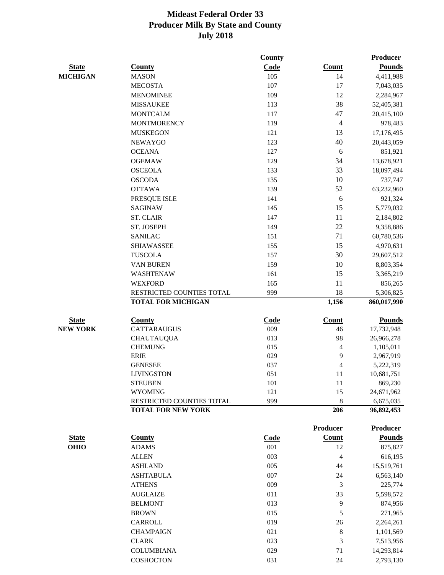|                 |                                                        | <b>County</b> |                 | <b>Producer</b>         |
|-----------------|--------------------------------------------------------|---------------|-----------------|-------------------------|
| <b>State</b>    | <b>County</b>                                          | Code          | <b>Count</b>    | <b>Pounds</b>           |
| <b>MICHIGAN</b> | <b>MASON</b>                                           | 105           | 14              | 4,411,988               |
|                 | <b>MECOSTA</b>                                         | 107           | 17              | 7,043,035               |
|                 | <b>MENOMINEE</b>                                       | 109           | 12              | 2,284,967               |
|                 | <b>MISSAUKEE</b>                                       | 113           | 38              | 52,405,381              |
|                 | <b>MONTCALM</b>                                        | 117           | 47              | 20,415,100              |
|                 | <b>MONTMORENCY</b>                                     | 119           | $\overline{4}$  | 978,483                 |
|                 | <b>MUSKEGON</b>                                        | 121           | 13              | 17,176,495              |
|                 | <b>NEWAYGO</b>                                         | 123           | 40              | 20,443,059              |
|                 | <b>OCEANA</b>                                          | 127           | 6               | 851,921                 |
|                 | <b>OGEMAW</b>                                          | 129           | 34              | 13,678,921              |
|                 | <b>OSCEOLA</b>                                         | 133           | 33              | 18,097,494              |
|                 | <b>OSCODA</b>                                          | 135           | 10              | 737,747                 |
|                 | <b>OTTAWA</b>                                          | 139           | 52              | 63,232,960              |
|                 | PRESQUE ISLE                                           | 141           | 6               | 921,324                 |
|                 | <b>SAGINAW</b>                                         | 145           | 15              | 5,779,032               |
|                 | <b>ST. CLAIR</b>                                       | 147           | 11              | 2,184,802               |
|                 | ST. JOSEPH                                             | 149           | 22              | 9,358,886               |
|                 | <b>SANILAC</b>                                         | 151           | 71              | 60,780,536              |
|                 | <b>SHIAWASSEE</b>                                      | 155           | 15              | 4,970,631               |
|                 | <b>TUSCOLA</b>                                         | 157           | 30              | 29,607,512              |
|                 | <b>VAN BUREN</b>                                       | 159           | 10              | 8,803,354               |
|                 | WASHTENAW                                              | 161           | 15              | 3,365,219               |
|                 | <b>WEXFORD</b>                                         | 165           | 11              | 856,265                 |
|                 | RESTRICTED COUNTIES TOTAL                              | 999           | 18              | 5,306,825               |
|                 | <b>TOTAL FOR MICHIGAN</b>                              |               | 1,156           | 860,017,990             |
|                 |                                                        |               |                 |                         |
| <b>State</b>    | <b>County</b>                                          | <b>Code</b>   | <b>Count</b>    | <b>Pounds</b>           |
| <b>NEW YORK</b> | <b>CATTARAUGUS</b>                                     | 009           | 46              | 17,732,948              |
|                 | <b>CHAUTAUQUA</b>                                      | 013           | 98              | 26,966,278              |
|                 | <b>CHEMUNG</b>                                         | 015           | 4               | 1,105,011               |
|                 | <b>ERIE</b>                                            | 029           | 9               | 2,967,919               |
|                 | <b>GENESEE</b>                                         | 037           | 4               | 5,222,319               |
|                 | <b>LIVINGSTON</b>                                      | 051           | 11              | 10,681,751              |
|                 | <b>STEUBEN</b>                                         | 101           | 11              | 869,230                 |
|                 | <b>WYOMING</b>                                         | 121           | 15              | 24,671,962              |
|                 | RESTRICTED COUNTIES TOTAL<br><b>TOTAL FOR NEW YORK</b> | 999           | 8<br>206        | 6,675,035<br>96,892,453 |
|                 |                                                        |               |                 |                         |
|                 |                                                        |               | <b>Producer</b> | <b>Producer</b>         |
| <b>State</b>    | <b>County</b>                                          | <b>Code</b>   | Count           | <b>Pounds</b>           |
| <b>OHIO</b>     | <b>ADAMS</b>                                           | 001           | 12              | 875,827                 |
|                 | <b>ALLEN</b>                                           | 003           | 4               | 616,195                 |
|                 | <b>ASHLAND</b>                                         | 005           | 44              | 15,519,761              |
|                 | <b>ASHTABULA</b>                                       | 007           | 24              | 6,563,140               |
|                 | <b>ATHENS</b>                                          | 009           | 3               | 225,774                 |
|                 | <b>AUGLAIZE</b>                                        | 011           | 33              | 5,598,572               |
|                 | <b>BELMONT</b>                                         | 013           | 9               | 874,956                 |
|                 | <b>BROWN</b>                                           | 015           | 5               | 271,965                 |
|                 | CARROLL                                                | 019           | 26              | 2,264,261               |
|                 | <b>CHAMPAIGN</b>                                       | 021           | $\,8\,$         | 1,101,569               |
|                 | <b>CLARK</b>                                           | 023           | 3               | 7,513,956               |
|                 | <b>COLUMBIANA</b>                                      | 029           | 71              | 14,293,814              |
|                 | COSHOCTON                                              | 031           | 24              | 2,793,130               |
|                 |                                                        |               |                 |                         |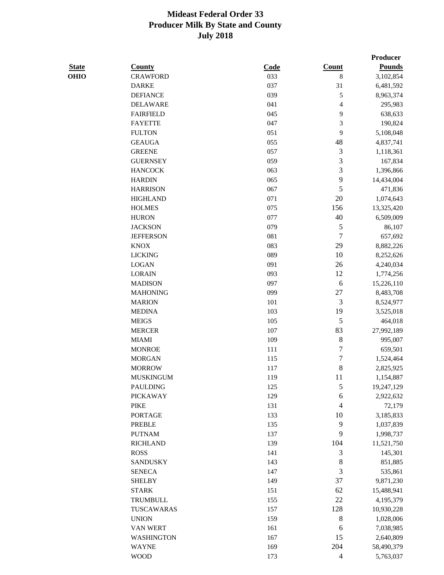|              |                   |      |                          | Producer      |
|--------------|-------------------|------|--------------------------|---------------|
| <b>State</b> | <b>County</b>     | Code | <b>Count</b>             | <b>Pounds</b> |
| <b>OHIO</b>  | <b>CRAWFORD</b>   | 033  | 8                        | 3,102,854     |
|              | <b>DARKE</b>      | 037  | 31                       | 6,481,592     |
|              | <b>DEFIANCE</b>   | 039  | 5                        | 8,963,374     |
|              | <b>DELAWARE</b>   | 041  | $\overline{\mathcal{L}}$ | 295,983       |
|              | <b>FAIRFIELD</b>  | 045  | 9                        | 638,633       |
|              | <b>FAYETTE</b>    | 047  | 3                        | 190,824       |
|              | <b>FULTON</b>     | 051  | 9                        | 5,108,048     |
|              | <b>GEAUGA</b>     | 055  | 48                       | 4,837,741     |
|              | <b>GREENE</b>     | 057  | $\mathfrak{Z}$           | 1,118,361     |
|              | <b>GUERNSEY</b>   | 059  | 3                        | 167,834       |
|              | <b>HANCOCK</b>    | 063  | 3                        | 1,396,866     |
|              | <b>HARDIN</b>     | 065  | 9                        | 14,434,004    |
|              | <b>HARRISON</b>   | 067  | 5                        | 471,836       |
|              | <b>HIGHLAND</b>   | 071  | 20                       | 1,074,643     |
|              | <b>HOLMES</b>     | 075  | 156                      | 13,325,420    |
|              | <b>HURON</b>      | 077  | 40                       | 6,509,009     |
|              | <b>JACKSON</b>    | 079  | 5                        | 86,107        |
|              | <b>JEFFERSON</b>  | 081  | $\overline{7}$           | 657,692       |
|              | <b>KNOX</b>       | 083  | 29                       | 8,882,226     |
|              | <b>LICKING</b>    | 089  | 10                       | 8,252,626     |
|              | <b>LOGAN</b>      | 091  | 26                       | 4,240,034     |
|              | <b>LORAIN</b>     | 093  | 12                       | 1,774,256     |
|              | <b>MADISON</b>    | 097  | 6                        | 15,226,110    |
|              | <b>MAHONING</b>   | 099  | 27                       | 8,483,708     |
|              | <b>MARION</b>     | 101  | 3                        | 8,524,977     |
|              | <b>MEDINA</b>     | 103  | 19                       | 3,525,018     |
|              | <b>MEIGS</b>      | 105  | 5                        | 464,018       |
|              | <b>MERCER</b>     | 107  | 83                       | 27,992,189    |
|              | <b>MIAMI</b>      | 109  | $\,$ 8 $\,$              | 995,007       |
|              | <b>MONROE</b>     | 111  | $\overline{7}$           | 659,501       |
|              | <b>MORGAN</b>     | 115  | 7                        | 1,524,464     |
|              | <b>MORROW</b>     | 117  | 8                        | 2,825,925     |
|              | <b>MUSKINGUM</b>  | 119  | 11                       | 1,154,887     |
|              | <b>PAULDING</b>   | 125  | 5                        | 19,247,129    |
|              | <b>PICKAWAY</b>   | 129  | 6                        | 2,922,632     |
|              | <b>PIKE</b>       | 131  | $\overline{4}$           | 72,179        |
|              | <b>PORTAGE</b>    | 133  | 10                       | 3,185,833     |
|              | <b>PREBLE</b>     | 135  | 9                        | 1,037,839     |
|              | <b>PUTNAM</b>     | 137  | 9                        | 1,998,737     |
|              | <b>RICHLAND</b>   | 139  | 104                      | 11,521,750    |
|              | <b>ROSS</b>       | 141  | 3                        | 145,301       |
|              | <b>SANDUSKY</b>   | 143  | 8                        | 851,885       |
|              | <b>SENECA</b>     | 147  | 3                        | 535,861       |
|              | <b>SHELBY</b>     | 149  | 37                       | 9,871,230     |
|              | <b>STARK</b>      | 151  | 62                       | 15,488,941    |
|              | <b>TRUMBULL</b>   | 155  | 22                       | 4,195,379     |
|              | TUSCAWARAS        | 157  | 128                      | 10,930,228    |
|              | <b>UNION</b>      | 159  | 8                        | 1,028,006     |
|              | <b>VAN WERT</b>   | 161  | 6                        | 7,038,985     |
|              | <b>WASHINGTON</b> | 167  | 15                       | 2,640,809     |
|              | <b>WAYNE</b>      | 169  | 204                      | 58,490,379    |
|              | <b>WOOD</b>       | 173  | $\overline{4}$           | 5,763,037     |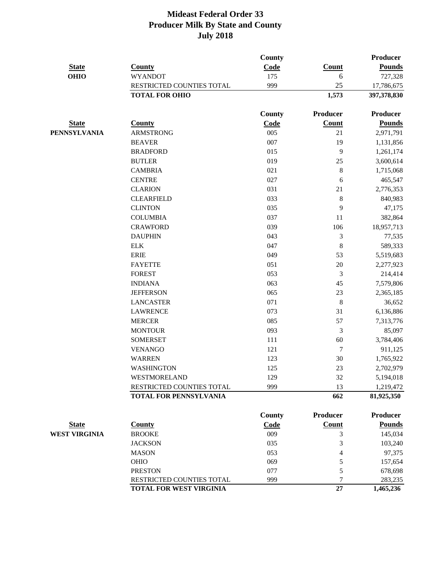|                      |                               | County        |                 | <b>Producer</b> |
|----------------------|-------------------------------|---------------|-----------------|-----------------|
| <b>State</b>         | <b>County</b>                 | Code          | <b>Count</b>    | <b>Pounds</b>   |
| <b>OHIO</b>          | <b>WYANDOT</b>                | 175           | 6               | 727,328         |
|                      | RESTRICTED COUNTIES TOTAL     | 999           | 25              | 17,786,675      |
|                      | <b>TOTAL FOR OHIO</b>         |               | 1,573           | 397,378,830     |
|                      |                               | <b>County</b> | Producer        | <b>Producer</b> |
| <b>State</b>         | <b>County</b>                 | Code          | <b>Count</b>    | <b>Pounds</b>   |
| <b>PENNSYLVANIA</b>  | <b>ARMSTRONG</b>              | 005           | 21              | 2,971,791       |
|                      | <b>BEAVER</b>                 | 007           | 19              | 1,131,856       |
|                      | <b>BRADFORD</b>               | 015           | 9               | 1,261,174       |
|                      | <b>BUTLER</b>                 | 019           | 25              | 3,600,614       |
|                      | <b>CAMBRIA</b>                | 021           | $\,8$           | 1,715,068       |
|                      | <b>CENTRE</b>                 | 027           | 6               | 465,547         |
|                      | <b>CLARION</b>                | 031           | 21              | 2,776,353       |
|                      | <b>CLEARFIELD</b>             | 033           | $\,8\,$         | 840,983         |
|                      | <b>CLINTON</b>                | 035           | 9               | 47,175          |
|                      | <b>COLUMBIA</b>               | 037           | 11              | 382,864         |
|                      | <b>CRAWFORD</b>               | 039           | 106             | 18,957,713      |
|                      | <b>DAUPHIN</b>                | 043           | 3               | 77,535          |
|                      | <b>ELK</b>                    | 047           | 8               | 589,333         |
|                      | <b>ERIE</b>                   | 049           | 53              | 5,519,683       |
|                      | <b>FAYETTE</b>                | 051           | 20              | 2,277,923       |
|                      | <b>FOREST</b>                 | 053           | $\mathfrak{Z}$  | 214,414         |
|                      | <b>INDIANA</b>                | 063           | 45              | 7,579,806       |
|                      | <b>JEFFERSON</b>              | 065           | 23              | 2,365,185       |
|                      | <b>LANCASTER</b>              | 071           | $\,8\,$         | 36,652          |
|                      | <b>LAWRENCE</b>               | 073           | 31              | 6,136,886       |
|                      | <b>MERCER</b>                 | 085           | 57              | 7,313,776       |
|                      | <b>MONTOUR</b>                | 093           | 3               | 85,097          |
|                      | <b>SOMERSET</b>               | 111           | 60              | 3,784,406       |
|                      | <b>VENANGO</b>                | 121           | $\tau$          | 911,125         |
|                      | <b>WARREN</b>                 | 123           | 30              | 1,765,922       |
|                      | <b>WASHINGTON</b>             | 125           | 23              | 2,702,979       |
|                      | WESTMORELAND                  | 129           | 32              | 5,194,018       |
|                      | RESTRICTED COUNTIES TOTAL     | 999           | 13              | 1,219,472       |
|                      | <b>TOTAL FOR PENNSYLVANIA</b> |               | 662             | 81,925,350      |
|                      |                               | County        | <b>Producer</b> | <b>Producer</b> |
| <b>State</b>         | <b>County</b>                 | Code          | Count           | <b>Pounds</b>   |
| <b>WEST VIRGINIA</b> | <b>BROOKE</b>                 | 009           | 3               | 145,034         |
|                      | <b>JACKSON</b>                | 035           | 3               | 103,240         |
|                      | <b>MASON</b>                  | 053           | 4               | 97,375          |
|                      | <b>OHIO</b>                   | 069           | 5               | 157,654         |
|                      | <b>PRESTON</b>                | 077           | 5               | 678,698         |
|                      | RESTRICTED COUNTIES TOTAL     | 999           | 7               | 283,235         |
|                      | TOTAL FOR WEST VIRGINIA       |               | 27              | 1,465,236       |